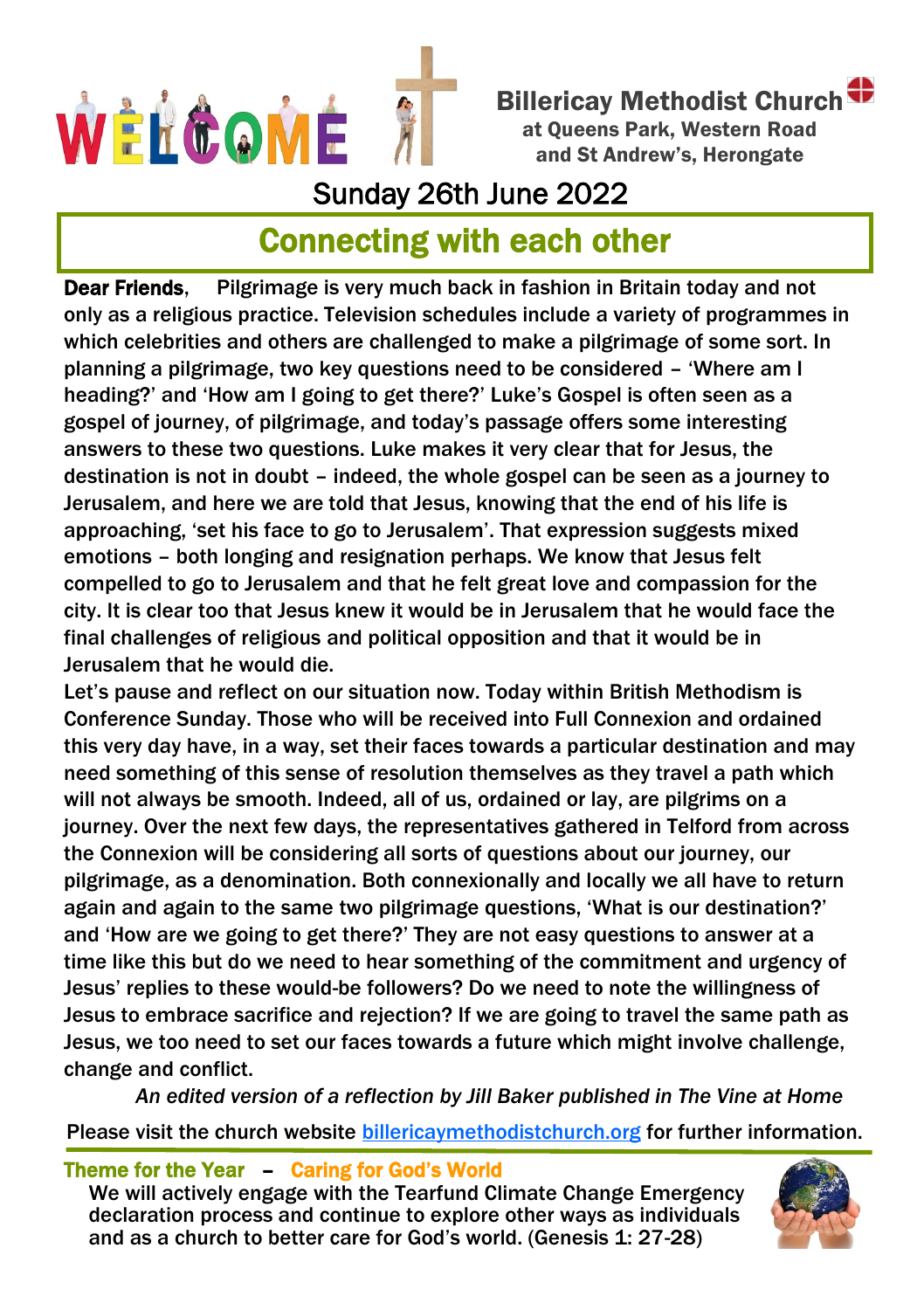

Billericay Methodist Church at Queens Park, Western Road and St Andrew's, Herongate

## Sunday 26th June 2022

# Connecting with each other

Dear Friends, Pilgrimage is very much back in fashion in Britain today and not only as a religious practice. Television schedules include a variety of programmes in which celebrities and others are challenged to make a pilgrimage of some sort. In planning a pilgrimage, two key questions need to be considered – 'Where am I heading?' and 'How am I going to get there?' Luke's Gospel is often seen as a gospel of journey, of pilgrimage, and today's passage offers some interesting answers to these two questions. Luke makes it very clear that for Jesus, the destination is not in doubt – indeed, the whole gospel can be seen as a journey to Jerusalem, and here we are told that Jesus, knowing that the end of his life is approaching, 'set his face to go to Jerusalem'. That expression suggests mixed emotions – both longing and resignation perhaps. We know that Jesus felt compelled to go to Jerusalem and that he felt great love and compassion for the city. It is clear too that Jesus knew it would be in Jerusalem that he would face the final challenges of religious and political opposition and that it would be in Jerusalem that he would die.

Let's pause and reflect on our situation now. Today within British Methodism is Conference Sunday. Those who will be received into Full Connexion and ordained this very day have, in a way, set their faces towards a particular destination and may need something of this sense of resolution themselves as they travel a path which will not always be smooth. Indeed, all of us, ordained or lay, are pilgrims on a journey. Over the next few days, the representatives gathered in Telford from across the Connexion will be considering all sorts of questions about our journey, our pilgrimage, as a denomination. Both connexionally and locally we all have to return again and again to the same two pilgrimage questions, 'What is our destination?' and 'How are we going to get there?' They are not easy questions to answer at a time like this but do we need to hear something of the commitment and urgency of Jesus' replies to these would-be followers? Do we need to note the willingness of Jesus to embrace sacrifice and rejection? If we are going to travel the same path as Jesus, we too need to set our faces towards a future which might involve challenge, change and conflict.

 *An edited version of a reflection by Jill Baker published in The Vine at Home* Please visit the church website [billericaymethodistchurch.org](http://www.billericaymethodistchurch.org.) for further information.

Theme for the Year – Caring for God's World

We will actively engage with the Tearfund Climate Change Emergency declaration process and continue to explore other ways as individuals and as a church to better care for God's world. (Genesis 1: 27-28)

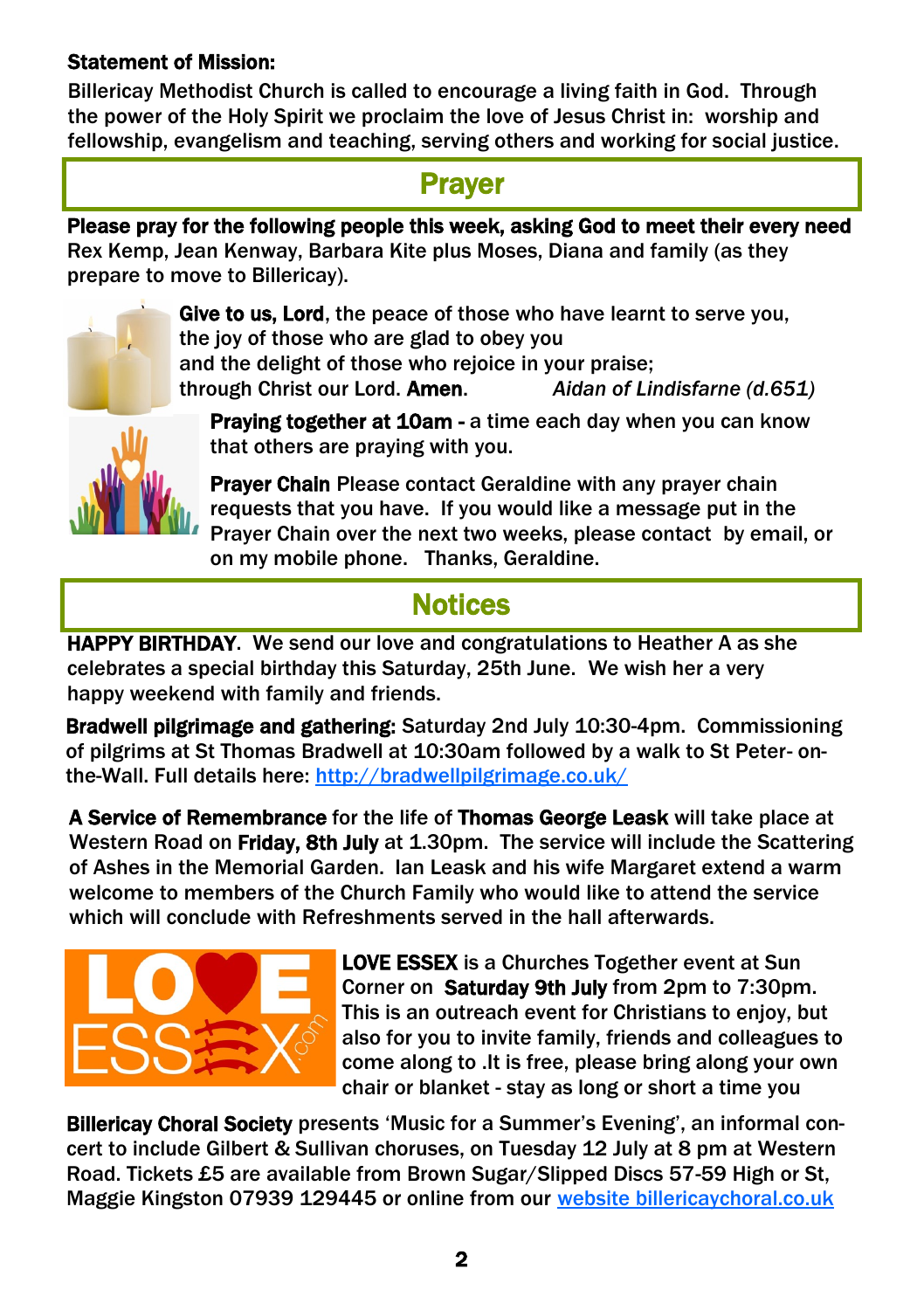#### Statement of Mission:

Billericay Methodist Church is called to encourage a living faith in God. Through the power of the Holy Spirit we proclaim the love of Jesus Christ in: worship and fellowship, evangelism and teaching, serving others and working for social justice.

#### **Prayer**

Please pray for the following people this week, asking God to meet their every need Rex Kemp, Jean Kenway, Barbara Kite plus Moses, Diana and family (as they prepare to move to Billericay).



Give to us, Lord, the peace of those who have learnt to serve you, the joy of those who are glad to obey you and the delight of those who rejoice in your praise; through Christ our Lord. Amen. *Aidan of Lindisfarne (d.651)* 

Praying together at 10am - a time each day when you can know that others are praying with you.

Prayer Chain Please contact Geraldine with any prayer chain requests that you have. If you would like a message put in the Prayer Chain over the next two weeks, please contact by email, or on my mobile phone. Thanks, Geraldine.

### **Notices**

HAPPY BIRTHDAY. We send our love and congratulations to Heather A as she celebrates a special birthday this Saturday, 25th June. We wish her a very happy weekend with family and friends.

Bradwell pilgrimage and gathering: Saturday 2nd July 10:30-4pm. Commissioning of pilgrims at St Thomas Bradwell at 10:30am followed by a walk to St Peter- onthe-Wall. Full details here:<http://bradwellpilgrimage.co.uk/>

A Service of Remembrance for the life of Thomas George Leask will take place at Western Road on Friday, 8th July at 1.30pm. The service will include the Scattering of Ashes in the Memorial Garden. Ian Leask and his wife Margaret extend a warm welcome to members of the Church Family who would like to attend the service which will conclude with Refreshments served in the hall afterwards.



LOVE ESSEX is a Churches Together event at Sun Corner on Saturday 9th July from 2pm to 7:30pm. This is an outreach event for Christians to enjoy, but also for you to invite family, friends and colleagues to come along to .It is free, please bring along your own chair or blanket - stay as long or short a time you

Billericay Choral Society presents 'Music for a Summer's Evening', an informal concert to include Gilbert & Sullivan choruses, on Tuesday 12 July at 8 pm at Western Road. Tickets £5 are available from Brown Sugar/Slipped Discs 57-59 High or St, Maggie Kingston 07939 129445 or online from our [website billericaychoral.co.uk](website%20billericaychoral.co.uk)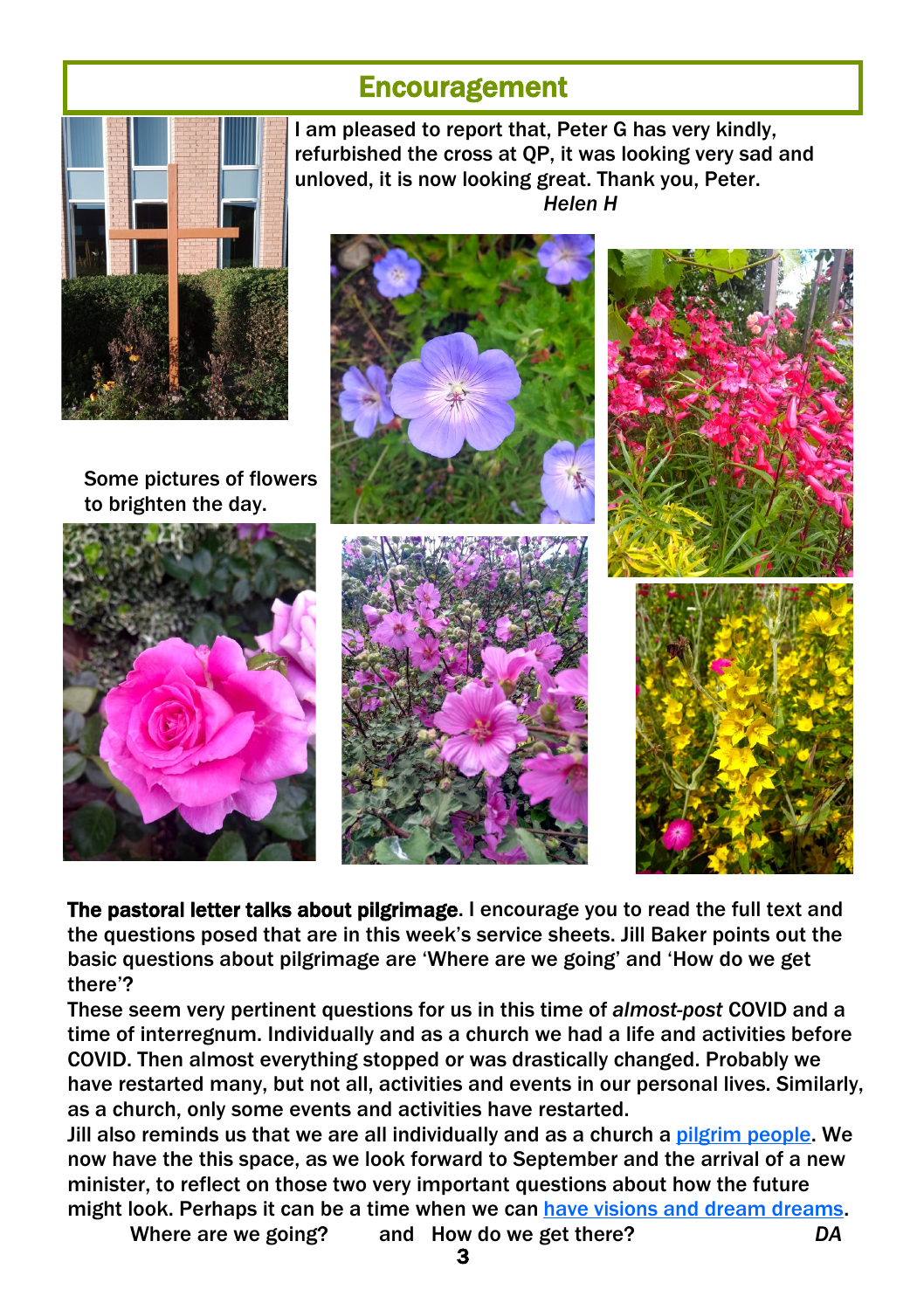#### **Encouragement**



Some pictures of flowers to brighten the day.



I am pleased to report that, Peter G has very kindly, refurbished the cross at QP, it was looking very sad and unloved, it is now looking great. Thank you, Peter. *Helen H*



The pastoral letter talks about pilgrimage. I encourage you to read the full text and the questions posed that are in this week's service sheets. Jill Baker points out the basic questions about pilgrimage are 'Where are we going' and 'How do we get there'?

These seem very pertinent questions for us in this time of *almost-post* COVID and a time of interregnum. Individually and as a church we had a life and activities before COVID. Then almost everything stopped or was drastically changed. Probably we have restarted many, but not all, activities and events in our personal lives. Similarly, as a church, only some events and activities have restarted.

Jill also reminds us that we are all individually and as a church a [pilgrim people.](https://hymnary.org/text/for_the_might_of_thine_arm_we_bless_thee) We now have the this space, as we look forward to September and the arrival of a new minister, to reflect on those two very important questions about how the future might look. Perhaps it can be a time when we can [have visions and dream dreams.](https://www.biblegateway.com/passage/?search=Joel+2%3A28&version=NIV) 

3

Where are we going? and How do we get there? *DA*